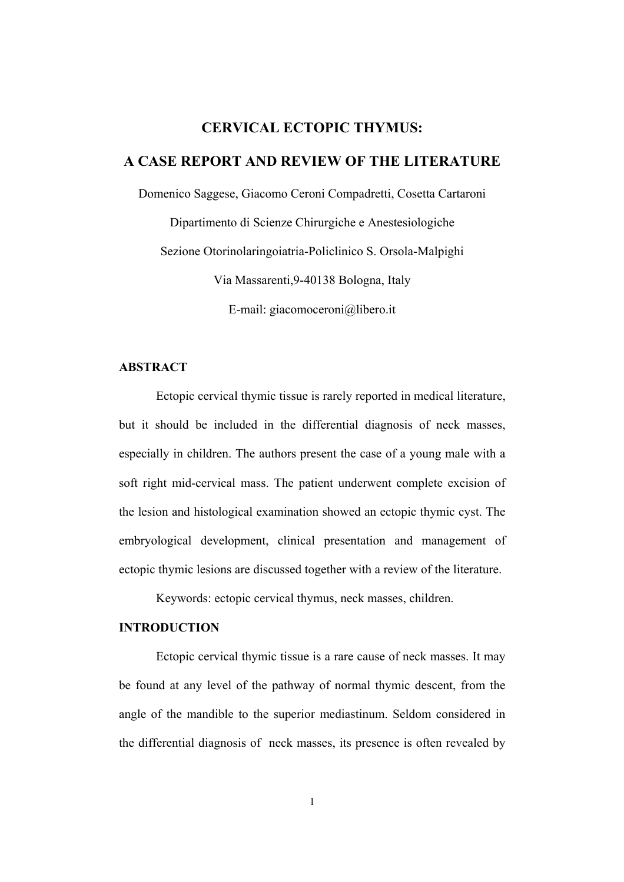# **CERVICAL ECTOPIC THYMUS:**

## **A CASE REPORT AND REVIEW OF THE LITERATURE**

Domenico Saggese, Giacomo Ceroni Compadretti, Cosetta Cartaroni Dipartimento di Scienze Chirurgiche e Anestesiologiche Sezione Otorinolaringoiatria-Policlinico S. Orsola-Malpighi Via Massarenti,9-40138 Bologna, Italy E-mail: giacomoceroni@libero.it

### **ABSTRACT**

Ectopic cervical thymic tissue is rarely reported in medical literature, but it should be included in the differential diagnosis of neck masses, especially in children. The authors present the case of a young male with a soft right mid-cervical mass. The patient underwent complete excision of the lesion and histological examination showed an ectopic thymic cyst. The embryological development, clinical presentation and management of ectopic thymic lesions are discussed together with a review of the literature.

Keywords: ectopic cervical thymus, neck masses, children.

### **INTRODUCTION**

Ectopic cervical thymic tissue is a rare cause of neck masses. It may be found at any level of the pathway of normal thymic descent, from the angle of the mandible to the superior mediastinum. Seldom considered in the differential diagnosis of neck masses, its presence is often revealed by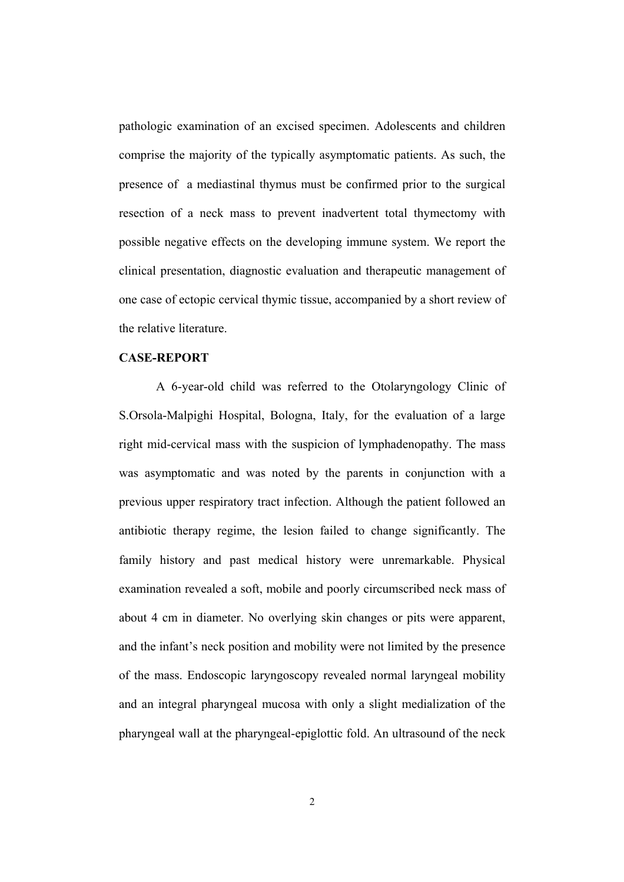pathologic examination of an excised specimen. Adolescents and children comprise the majority of the typically asymptomatic patients. As such, the presence of a mediastinal thymus must be confirmed prior to the surgical resection of a neck mass to prevent inadvertent total thymectomy with possible negative effects on the developing immune system. We report the clinical presentation, diagnostic evaluation and therapeutic management of one case of ectopic cervical thymic tissue, accompanied by a short review of the relative literature.

#### **CASE-REPORT**

A 6-year-old child was referred to the Otolaryngology Clinic of S.Orsola-Malpighi Hospital, Bologna, Italy, for the evaluation of a large right mid-cervical mass with the suspicion of lymphadenopathy. The mass was asymptomatic and was noted by the parents in conjunction with a previous upper respiratory tract infection. Although the patient followed an antibiotic therapy regime, the lesion failed to change significantly. The family history and past medical history were unremarkable. Physical examination revealed a soft, mobile and poorly circumscribed neck mass of about 4 cm in diameter. No overlying skin changes or pits were apparent, and the infant's neck position and mobility were not limited by the presence of the mass. Endoscopic laryngoscopy revealed normal laryngeal mobility and an integral pharyngeal mucosa with only a slight medialization of the pharyngeal wall at the pharyngeal-epiglottic fold. An ultrasound of the neck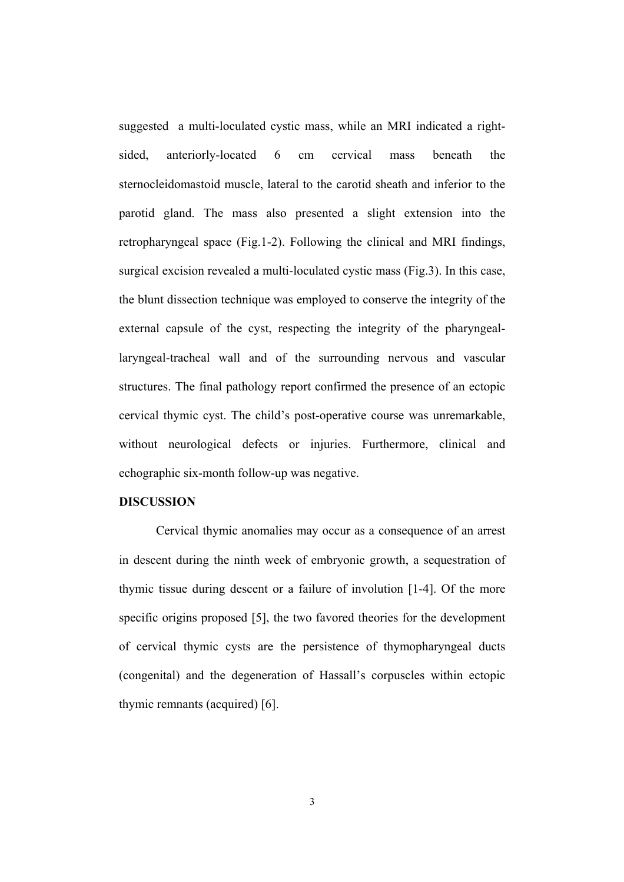suggested a multi-loculated cystic mass, while an MRI indicated a rightsided, anteriorly-located 6 cm cervical mass beneath the sternocleidomastoid muscle, lateral to the carotid sheath and inferior to the parotid gland. The mass also presented a slight extension into the retropharyngeal space (Fig.1-2). Following the clinical and MRI findings, surgical excision revealed a multi-loculated cystic mass (Fig.3). In this case, the blunt dissection technique was employed to conserve the integrity of the external capsule of the cyst, respecting the integrity of the pharyngeallaryngeal-tracheal wall and of the surrounding nervous and vascular structures. The final pathology report confirmed the presence of an ectopic cervical thymic cyst. The child's post-operative course was unremarkable, without neurological defects or injuries. Furthermore, clinical and echographic six-month follow-up was negative.

### **DISCUSSION**

Cervical thymic anomalies may occur as a consequence of an arrest in descent during the ninth week of embryonic growth, a sequestration of thymic tissue during descent or a failure of involution [1-4]. Of the more specific origins proposed [5], the two favored theories for the development of cervical thymic cysts are the persistence of thymopharyngeal ducts (congenital) and the degeneration of Hassall's corpuscles within ectopic thymic remnants (acquired) [6].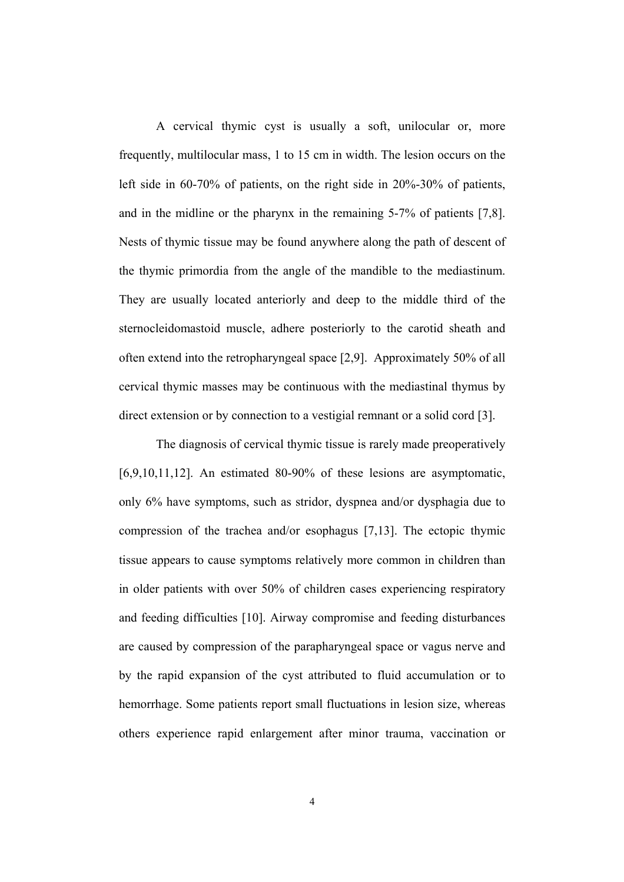A cervical thymic cyst is usually a soft, unilocular or, more frequently, multilocular mass, 1 to 15 cm in width. The lesion occurs on the left side in 60-70% of patients, on the right side in 20%-30% of patients, and in the midline or the pharynx in the remaining 5-7% of patients [7,8]. Nests of thymic tissue may be found anywhere along the path of descent of the thymic primordia from the angle of the mandible to the mediastinum. They are usually located anteriorly and deep to the middle third of the sternocleidomastoid muscle, adhere posteriorly to the carotid sheath and often extend into the retropharyngeal space [2,9]. Approximately 50% of all cervical thymic masses may be continuous with the mediastinal thymus by direct extension or by connection to a vestigial remnant or a solid cord [3].

The diagnosis of cervical thymic tissue is rarely made preoperatively  $[6,9,10,11,12]$ . An estimated 80-90% of these lesions are asymptomatic, only 6% have symptoms, such as stridor, dyspnea and/or dysphagia due to compression of the trachea and/or esophagus [7,13]. The ectopic thymic tissue appears to cause symptoms relatively more common in children than in older patients with over 50% of children cases experiencing respiratory and feeding difficulties [10]. Airway compromise and feeding disturbances are caused by compression of the parapharyngeal space or vagus nerve and by the rapid expansion of the cyst attributed to fluid accumulation or to hemorrhage. Some patients report small fluctuations in lesion size, whereas others experience rapid enlargement after minor trauma, vaccination or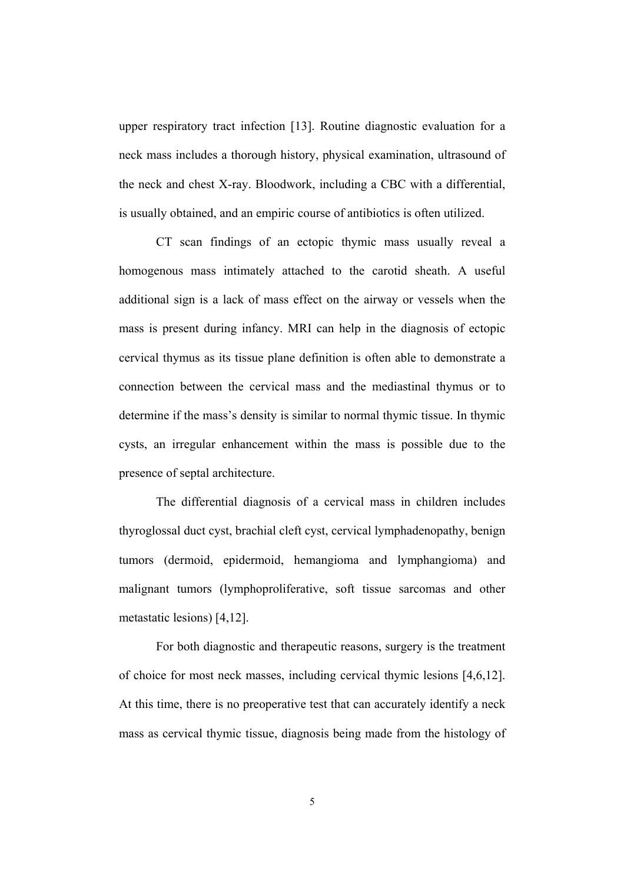upper respiratory tract infection [13]. Routine diagnostic evaluation for a neck mass includes a thorough history, physical examination, ultrasound of the neck and chest X-ray. Bloodwork, including a CBC with a differential, is usually obtained, and an empiric course of antibiotics is often utilized.

CT scan findings of an ectopic thymic mass usually reveal a homogenous mass intimately attached to the carotid sheath. A useful additional sign is a lack of mass effect on the airway or vessels when the mass is present during infancy. MRI can help in the diagnosis of ectopic cervical thymus as its tissue plane definition is often able to demonstrate a connection between the cervical mass and the mediastinal thymus or to determine if the mass's density is similar to normal thymic tissue. In thymic cysts, an irregular enhancement within the mass is possible due to the presence of septal architecture.

The differential diagnosis of a cervical mass in children includes thyroglossal duct cyst, brachial cleft cyst, cervical lymphadenopathy, benign tumors (dermoid, epidermoid, hemangioma and lymphangioma) and malignant tumors (lymphoproliferative, soft tissue sarcomas and other metastatic lesions) [4,12].

For both diagnostic and therapeutic reasons, surgery is the treatment of choice for most neck masses, including cervical thymic lesions [4,6,12]. At this time, there is no preoperative test that can accurately identify a neck mass as cervical thymic tissue, diagnosis being made from the histology of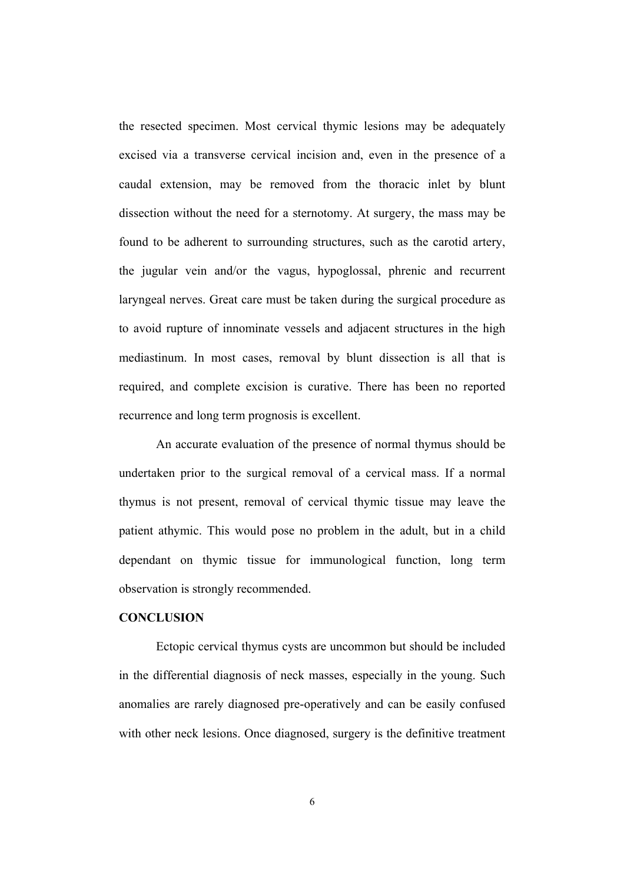the resected specimen. Most cervical thymic lesions may be adequately excised via a transverse cervical incision and, even in the presence of a caudal extension, may be removed from the thoracic inlet by blunt dissection without the need for a sternotomy. At surgery, the mass may be found to be adherent to surrounding structures, such as the carotid artery, the jugular vein and/or the vagus, hypoglossal, phrenic and recurrent laryngeal nerves. Great care must be taken during the surgical procedure as to avoid rupture of innominate vessels and adjacent structures in the high mediastinum. In most cases, removal by blunt dissection is all that is required, and complete excision is curative. There has been no reported recurrence and long term prognosis is excellent.

An accurate evaluation of the presence of normal thymus should be undertaken prior to the surgical removal of a cervical mass. If a normal thymus is not present, removal of cervical thymic tissue may leave the patient athymic. This would pose no problem in the adult, but in a child dependant on thymic tissue for immunological function, long term observation is strongly recommended.

#### **CONCLUSION**

Ectopic cervical thymus cysts are uncommon but should be included in the differential diagnosis of neck masses, especially in the young. Such anomalies are rarely diagnosed pre-operatively and can be easily confused with other neck lesions. Once diagnosed, surgery is the definitive treatment

6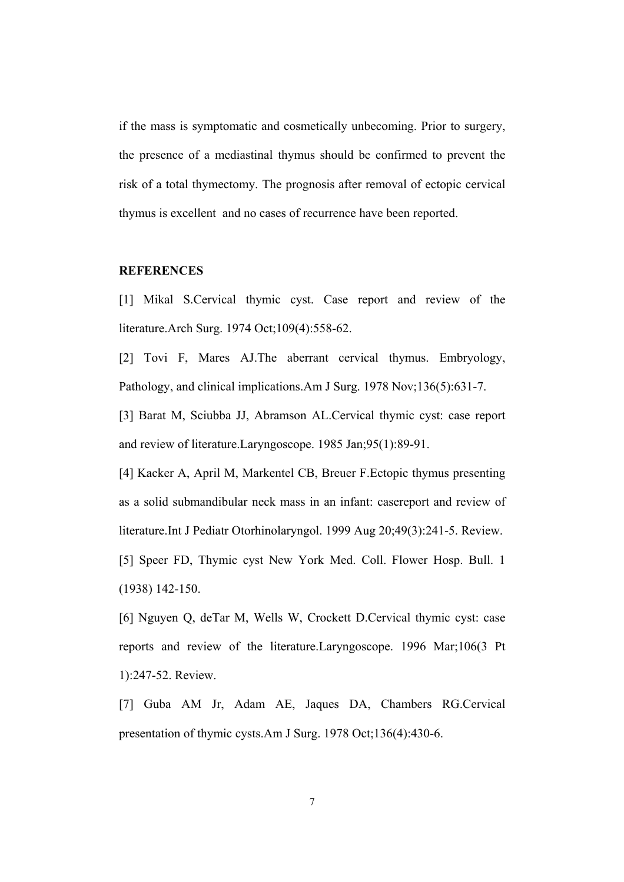if the mass is symptomatic and cosmetically unbecoming. Prior to surgery, the presence of a mediastinal thymus should be confirmed to prevent the risk of a total thymectomy. The prognosis after removal of ectopic cervical thymus is excellent and no cases of recurrence have been reported.

### **REFERENCES**

[1] Mikal S.Cervical thymic cyst. Case report and review of the literature.Arch Surg. 1974 Oct;109(4):558-62.

[2] Tovi F, Mares AJ.The aberrant cervical thymus. Embryology, Pathology, and clinical implications.Am J Surg. 1978 Nov;136(5):631-7.

[3] Barat M, Sciubba JJ, Abramson AL.Cervical thymic cyst: case report and review of literature.Laryngoscope. 1985 Jan;95(1):89-91.

[4] Kacker A, April M, Markentel CB, Breuer F.Ectopic thymus presenting as a solid submandibular neck mass in an infant: casereport and review of literature.Int J Pediatr Otorhinolaryngol. 1999 Aug 20;49(3):241-5. Review.

[5] Speer FD, Thymic cyst New York Med. Coll. Flower Hosp. Bull. 1 (1938) 142-150.

[6] Nguyen Q, deTar M, Wells W, Crockett D.Cervical thymic cyst: case reports and review of the literature.Laryngoscope. 1996 Mar;106(3 Pt 1):247-52. Review.

[7] Guba AM Jr, Adam AE, Jaques DA, Chambers RG.Cervical presentation of thymic cysts.Am J Surg. 1978 Oct;136(4):430-6.

7